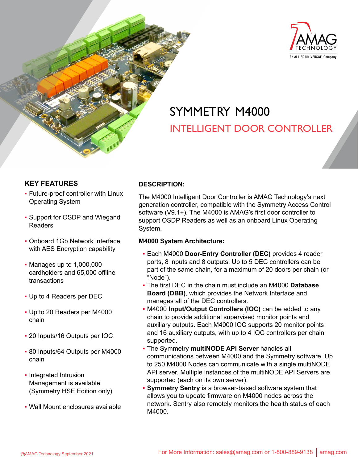

# INTELLIGENT DOOR CONTROLLER SYMMETRY M4000

## **KEY FEATURES**

- Future-proof controller with Linux Operating System
- Support for OSDP and Wiegand Readers
- Onboard 1Gb Network Interface with AES Encryption capability
- Manages up to 1,000,000 cardholders and 65,000 offline transactions
- Up to 4 Readers per DEC
- Up to 20 Readers per M4000 chain
- 20 Inputs/16 Outputs per IOC
- 80 Inputs/64 Outputs per M4000 chain
- Integrated Intrusion Management is available (Symmetry HSE Edition only)
- Wall Mount enclosures available

### **DESCRIPTION:**

The M4000 Intelligent Door Controller is AMAG Technology's next generation controller, compatible with the Symmetry Access Control software (V9.1+). The M4000 is AMAG's first door controller to support OSDP Readers as well as an onboard Linux Operating System.

#### **M4000 System Architecture:**

- Each M4000 **Door-Entry Controller (DEC)** provides 4 reader ports, 8 inputs and 8 outputs. Up to 5 DEC controllers can be part of the same chain, for a maximum of 20 doors per chain (or "Node").
- The first DEC in the chain must include an M4000 **Database Board (DBB)**, which provides the Network Interface and manages all of the DEC controllers.
- M4000 **Input/Output Controllers (IOC)** can be added to any chain to provide additional supervised monitor points and auxiliary outputs. Each M4000 IOC supports 20 monitor points and 16 auxiliary outputs, with up to 4 IOC controllers per chain supported.
- The Symmetry **multiNODE API Server** handles all communications between M4000 and the Symmetry software. Up to 250 M4000 Nodes can communicate with a single multiNODE API server. Multiple instances of the multiNODE API Servers are supported (each on its own server).
- **Symmetry Sentry** is a browser-based software system that allows you to update firmware on M4000 nodes across the network. Sentry also remotely monitors the health status of each M4000.